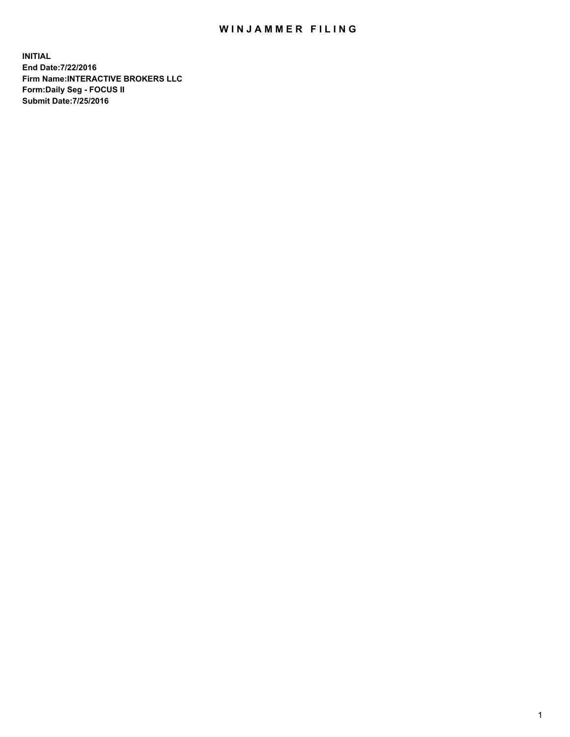## WIN JAMMER FILING

**INITIAL End Date:7/22/2016 Firm Name:INTERACTIVE BROKERS LLC Form:Daily Seg - FOCUS II Submit Date:7/25/2016**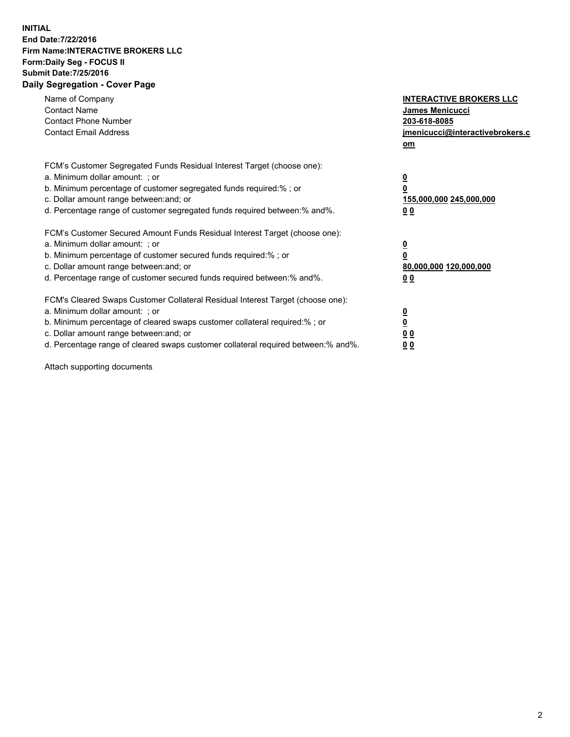## **INITIAL End Date:7/22/2016 Firm Name:INTERACTIVE BROKERS LLC Form:Daily Seg - FOCUS II Submit Date:7/25/2016 Daily Segregation - Cover Page**

| Name of Company<br><b>Contact Name</b><br><b>Contact Phone Number</b><br><b>Contact Email Address</b>                                                                                                                                                                                                                          | <b>INTERACTIVE BROKERS LLC</b><br><b>James Menicucci</b><br>203-618-8085<br>jmenicucci@interactivebrokers.c<br>om |
|--------------------------------------------------------------------------------------------------------------------------------------------------------------------------------------------------------------------------------------------------------------------------------------------------------------------------------|-------------------------------------------------------------------------------------------------------------------|
| FCM's Customer Segregated Funds Residual Interest Target (choose one):<br>a. Minimum dollar amount: ; or<br>b. Minimum percentage of customer segregated funds required:%; or<br>c. Dollar amount range between: and; or<br>d. Percentage range of customer segregated funds required between:% and%.                          | $\overline{\mathbf{0}}$<br>0<br>155,000,000 245,000,000<br>0 <sub>0</sub>                                         |
| FCM's Customer Secured Amount Funds Residual Interest Target (choose one):<br>a. Minimum dollar amount: ; or<br>b. Minimum percentage of customer secured funds required:%; or<br>c. Dollar amount range between: and; or<br>d. Percentage range of customer secured funds required between: % and %.                          | $\overline{\mathbf{0}}$<br>0<br>80,000,000 120,000,000<br>0 <sub>0</sub>                                          |
| FCM's Cleared Swaps Customer Collateral Residual Interest Target (choose one):<br>a. Minimum dollar amount: ; or<br>b. Minimum percentage of cleared swaps customer collateral required:% ; or<br>c. Dollar amount range between: and; or<br>d. Percentage range of cleared swaps customer collateral required between:% and%. | $\overline{\mathbf{0}}$<br>$\overline{\mathbf{0}}$<br>0 <sub>0</sub><br><u>00</u>                                 |

Attach supporting documents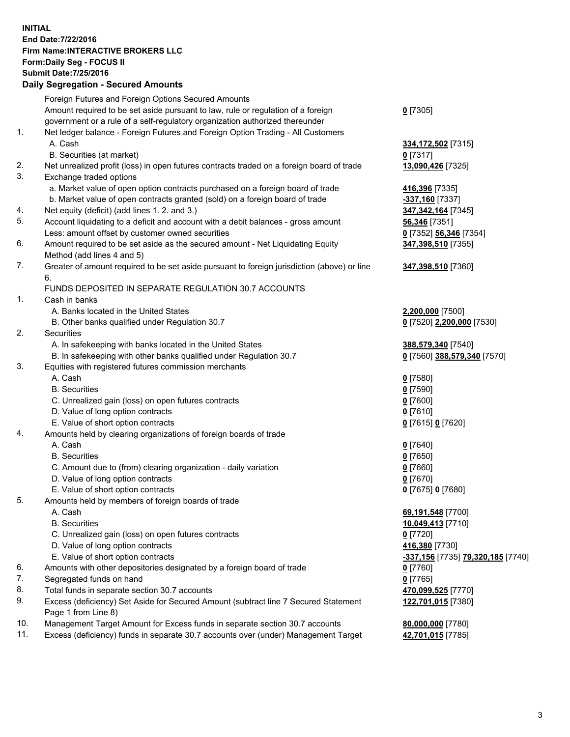## **INITIAL End Date:7/22/2016 Firm Name:INTERACTIVE BROKERS LLC Form:Daily Seg - FOCUS II Submit Date:7/25/2016 Daily Segregation - Secured Amounts**

|     | Daily Jegregation - Jeculed Aniounts                                                        |                                   |
|-----|---------------------------------------------------------------------------------------------|-----------------------------------|
|     | Foreign Futures and Foreign Options Secured Amounts                                         |                                   |
|     | Amount required to be set aside pursuant to law, rule or regulation of a foreign            | $0$ [7305]                        |
|     | government or a rule of a self-regulatory organization authorized thereunder                |                                   |
| 1.  | Net ledger balance - Foreign Futures and Foreign Option Trading - All Customers             |                                   |
|     | A. Cash                                                                                     | 334,172,502 [7315]                |
|     | B. Securities (at market)                                                                   | $0$ [7317]                        |
| 2.  | Net unrealized profit (loss) in open futures contracts traded on a foreign board of trade   | 13,090,426 [7325]                 |
| 3.  | Exchange traded options                                                                     |                                   |
|     | a. Market value of open option contracts purchased on a foreign board of trade              | 416,396 [7335]                    |
|     | b. Market value of open contracts granted (sold) on a foreign board of trade                | -337,160 <sup>[7337]</sup>        |
| 4.  | Net equity (deficit) (add lines 1. 2. and 3.)                                               | 347, 342, 164 [7345]              |
| 5.  | Account liquidating to a deficit and account with a debit balances - gross amount           | 56,346 [7351]                     |
|     | Less: amount offset by customer owned securities                                            | 0 [7352] 56,346 [7354]            |
| 6.  | Amount required to be set aside as the secured amount - Net Liquidating Equity              | 347,398,510 [7355]                |
|     | Method (add lines 4 and 5)                                                                  |                                   |
| 7.  | Greater of amount required to be set aside pursuant to foreign jurisdiction (above) or line |                                   |
|     | 6.                                                                                          | 347,398,510 [7360]                |
|     | FUNDS DEPOSITED IN SEPARATE REGULATION 30.7 ACCOUNTS                                        |                                   |
| 1.  | Cash in banks                                                                               |                                   |
|     | A. Banks located in the United States                                                       |                                   |
|     |                                                                                             | 2,200,000 [7500]                  |
| 2.  | B. Other banks qualified under Regulation 30.7                                              | 0 [7520] 2,200,000 [7530]         |
|     | Securities                                                                                  |                                   |
|     | A. In safekeeping with banks located in the United States                                   | 388,579,340 [7540]                |
|     | B. In safekeeping with other banks qualified under Regulation 30.7                          | 0 [7560] 388,579,340 [7570]       |
| 3.  | Equities with registered futures commission merchants                                       |                                   |
|     | A. Cash                                                                                     | $0$ [7580]                        |
|     | <b>B.</b> Securities                                                                        | $0$ [7590]                        |
|     | C. Unrealized gain (loss) on open futures contracts                                         | $0$ [7600]                        |
|     | D. Value of long option contracts                                                           | $0$ [7610]                        |
|     | E. Value of short option contracts                                                          | 0 [7615] 0 [7620]                 |
| 4.  | Amounts held by clearing organizations of foreign boards of trade                           |                                   |
|     | A. Cash                                                                                     | $0$ [7640]                        |
|     | <b>B.</b> Securities                                                                        | $0$ [7650]                        |
|     | C. Amount due to (from) clearing organization - daily variation                             | $0$ [7660]                        |
|     | D. Value of long option contracts                                                           | $0$ [7670]                        |
|     | E. Value of short option contracts                                                          | 0 [7675] 0 [7680]                 |
| 5.  | Amounts held by members of foreign boards of trade                                          |                                   |
|     | A. Cash                                                                                     | 69,191,548 [7700]                 |
|     | <b>B.</b> Securities                                                                        | 10,049,413 [7710]                 |
|     | C. Unrealized gain (loss) on open futures contracts                                         | $0$ [7720]                        |
|     | D. Value of long option contracts                                                           | 416,380 [7730]                    |
|     | E. Value of short option contracts                                                          | -337,156 [7735] 79,320,185 [7740] |
| 6.  | Amounts with other depositories designated by a foreign board of trade                      | 0 [7760]                          |
| 7.  | Segregated funds on hand                                                                    | $0$ [7765]                        |
| 8.  | Total funds in separate section 30.7 accounts                                               | 470,099,525 [7770]                |
| 9.  | Excess (deficiency) Set Aside for Secured Amount (subtract line 7 Secured Statement         | 122,701,015 [7380]                |
|     | Page 1 from Line 8)                                                                         |                                   |
| 10. | Management Target Amount for Excess funds in separate section 30.7 accounts                 | 80,000,000 [7780]                 |
| 11. | Excess (deficiency) funds in separate 30.7 accounts over (under) Management Target          | 42,701,015 [7785]                 |
|     |                                                                                             |                                   |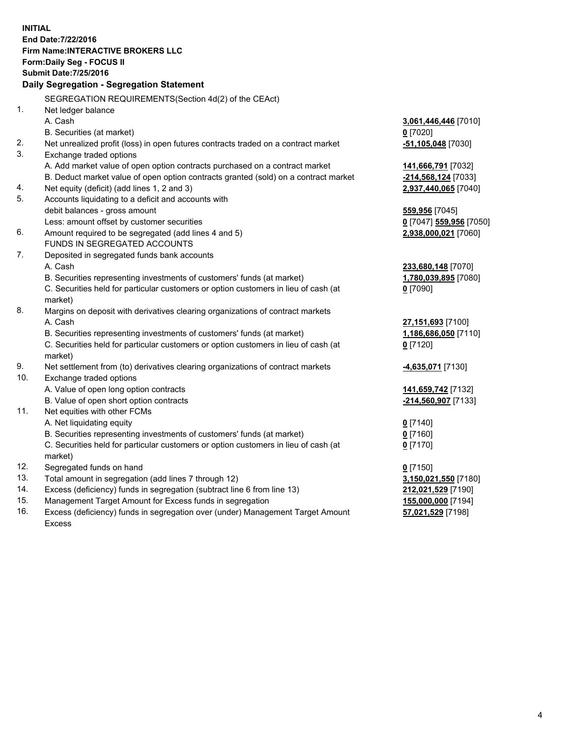**INITIAL End Date:7/22/2016 Firm Name:INTERACTIVE BROKERS LLC Form:Daily Seg - FOCUS II Submit Date:7/25/2016 Daily Segregation - Segregation Statement** SEGREGATION REQUIREMENTS(Section 4d(2) of the CEAct) 1. Net ledger balance A. Cash **3,061,446,446** [7010] B. Securities (at market) **0** [7020] 2. Net unrealized profit (loss) in open futures contracts traded on a contract market **-51,105,048** [7030] 3. Exchange traded options A. Add market value of open option contracts purchased on a contract market **141,666,791** [7032] B. Deduct market value of open option contracts granted (sold) on a contract market **-214,568,124** [7033] 4. Net equity (deficit) (add lines 1, 2 and 3) **2,937,440,065** [7040] 5. Accounts liquidating to a deficit and accounts with debit balances - gross amount **559,956** [7045] Less: amount offset by customer securities **0** [7047] **559,956** [7050] 6. Amount required to be segregated (add lines 4 and 5) **2,938,000,021** [7060] FUNDS IN SEGREGATED ACCOUNTS 7. Deposited in segregated funds bank accounts A. Cash **233,680,148** [7070] B. Securities representing investments of customers' funds (at market) **1,780,039,895** [7080] C. Securities held for particular customers or option customers in lieu of cash (at market) **0** [7090] 8. Margins on deposit with derivatives clearing organizations of contract markets A. Cash **27,151,693** [7100] B. Securities representing investments of customers' funds (at market) **1,186,686,050** [7110] C. Securities held for particular customers or option customers in lieu of cash (at market) **0** [7120] 9. Net settlement from (to) derivatives clearing organizations of contract markets **-4,635,071** [7130] 10. Exchange traded options A. Value of open long option contracts **141,659,742** [7132] B. Value of open short option contracts **-214,560,907** [7133] 11. Net equities with other FCMs A. Net liquidating equity **0** [7140] B. Securities representing investments of customers' funds (at market) **0** [7160] C. Securities held for particular customers or option customers in lieu of cash (at market) **0** [7170] 12. Segregated funds on hand **0** [7150] 13. Total amount in segregation (add lines 7 through 12) **3,150,021,550** [7180] 14. Excess (deficiency) funds in segregation (subtract line 6 from line 13) **212,021,529** [7190] 15. Management Target Amount for Excess funds in segregation **155,000,000** [7194] **57,021,529** [7198]

16. Excess (deficiency) funds in segregation over (under) Management Target Amount Excess